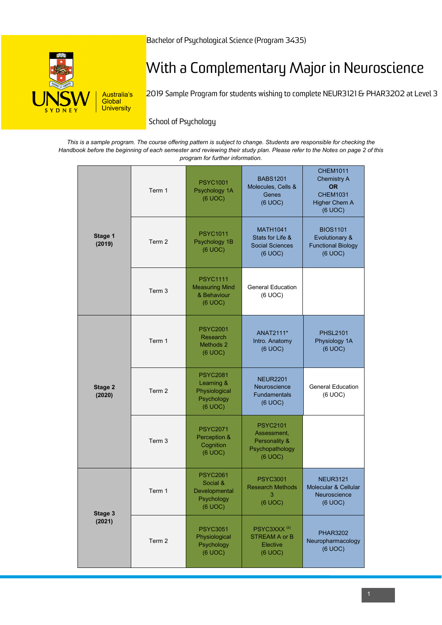

# With a Complementary Major in Neuroscience

2019 Sample Program for students wishing to complete NEUR3121 & PHAR3202 at Level 3

School of Psychology

| This is a sample program. The course offering pattern is subject to change. Students are responsible for checking the      |
|----------------------------------------------------------------------------------------------------------------------------|
| Handbook before the beginning of each semester and reviewing their study plan. Please refer to the Notes on page 2 of this |
| program for further information.                                                                                           |

|                   | Term 1 | <b>PSYC1001</b><br>Psychology 1A<br>(6 UOC)                             | <b>BABS1201</b><br>Molecules, Cells &<br>Genes<br>(6 UOC)                     | <b>CHEM1011</b><br><b>Chemistry A</b><br><b>OR</b><br><b>CHEM1031</b><br><b>Higher Chem A</b><br>(6 UOC) |
|-------------------|--------|-------------------------------------------------------------------------|-------------------------------------------------------------------------------|----------------------------------------------------------------------------------------------------------|
| Stage 1<br>(2019) | Term 2 | <b>PSYC1011</b><br>Psychology 1B<br>(6 UOC)                             | <b>MATH1041</b><br>Stats for Life &<br><b>Social Sciences</b><br>(6 UOC)      | <b>BIOS1101</b><br>Evolutionary &<br><b>Functional Biology</b><br>(6 UOC)                                |
|                   | Term 3 | <b>PSYC1111</b><br><b>Measuring Mind</b><br>& Behaviour<br>(6 UOC)      | <b>General Education</b><br>(6 UOC)                                           |                                                                                                          |
|                   | Term 1 | <b>PSYC2001</b><br>Research<br>Methods 2<br>(6 UOC)                     | ANAT2111*<br>Intro. Anatomy<br>(6 UOC)                                        | <b>PHSL2101</b><br>Physiology 1A<br>(6 UOC)                                                              |
| Stage 2<br>(2020) | Term 2 | <b>PSYC2081</b><br>Learning &<br>Physiological<br>Psychology<br>(6 UOC) | <b>NEUR2201</b><br>Neuroscience<br><b>Fundamentals</b><br>(6 UOC)             | <b>General Education</b><br>(6 UOC)                                                                      |
|                   | Term 3 | <b>PSYC2071</b><br>Perception &<br>Cognition<br>(6 UOC)                 | <b>PSYC2101</b><br>Assessment,<br>Personality &<br>Psychopathology<br>(6 UOC) |                                                                                                          |
| Stage 3<br>(2021) | Term 1 | <b>PSYC2061</b><br>Social &<br>Developmental<br>Psychology<br>(6 UOC)   | <b>PSYC3001</b><br><b>Research Methods</b><br>-3<br>(6 UOC)                   | <b>NEUR3121</b><br>Molecular & Cellular<br>Neuroscience<br>(6 UOC)                                       |
|                   | Term 2 | <b>PSYC3051</b><br>Physiological<br>Psychology<br>(6 UOC)               | PSYC3XXX <sup>(ii)</sup><br><b>STREAM A or B</b><br>Elective<br>(6 UOC)       | <b>PHAR3202</b><br>Neuropharmacology<br>(6 UOC)                                                          |